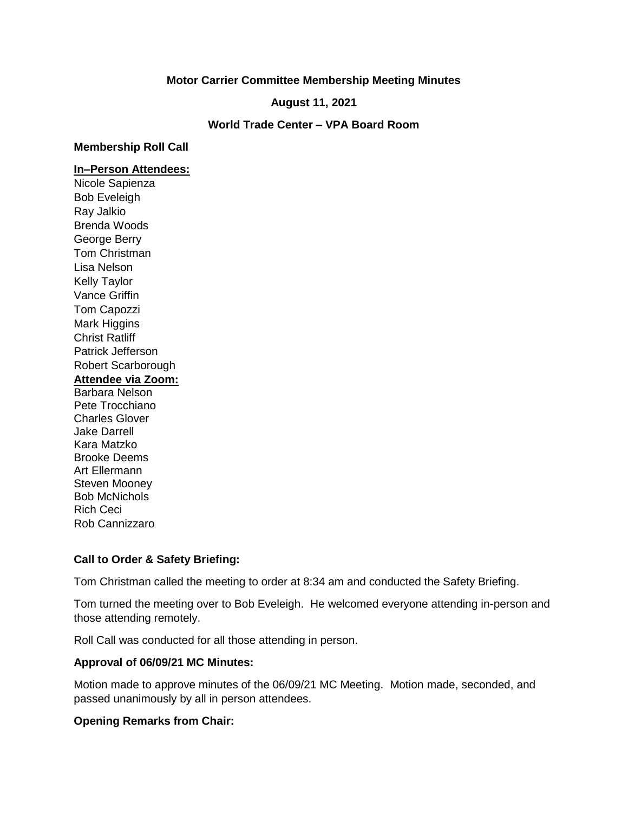### **Motor Carrier Committee Membership Meeting Minutes**

**August 11, 2021**

**World Trade Center – VPA Board Room**

#### **Membership Roll Call**

#### **In–Person Attendees:**

Nicole Sapienza Bob Eveleigh Ray Jalkio Brenda Woods George Berry Tom Christman Lisa Nelson Kelly Taylor Vance Griffin Tom Capozzi Mark Higgins Christ Ratliff Patrick Jefferson Robert Scarborough **Attendee via Zoom:** Barbara Nelson Pete Trocchiano Charles Glover Jake Darrell Kara Matzko Brooke Deems Art Ellermann Steven Mooney Bob McNichols Rich Ceci Rob Cannizzaro

## **Call to Order & Safety Briefing:**

Tom Christman called the meeting to order at 8:34 am and conducted the Safety Briefing.

Tom turned the meeting over to Bob Eveleigh. He welcomed everyone attending in-person and those attending remotely.

Roll Call was conducted for all those attending in person.

## **Approval of 06/09/21 MC Minutes:**

Motion made to approve minutes of the 06/09/21 MC Meeting. Motion made, seconded, and passed unanimously by all in person attendees.

## **Opening Remarks from Chair:**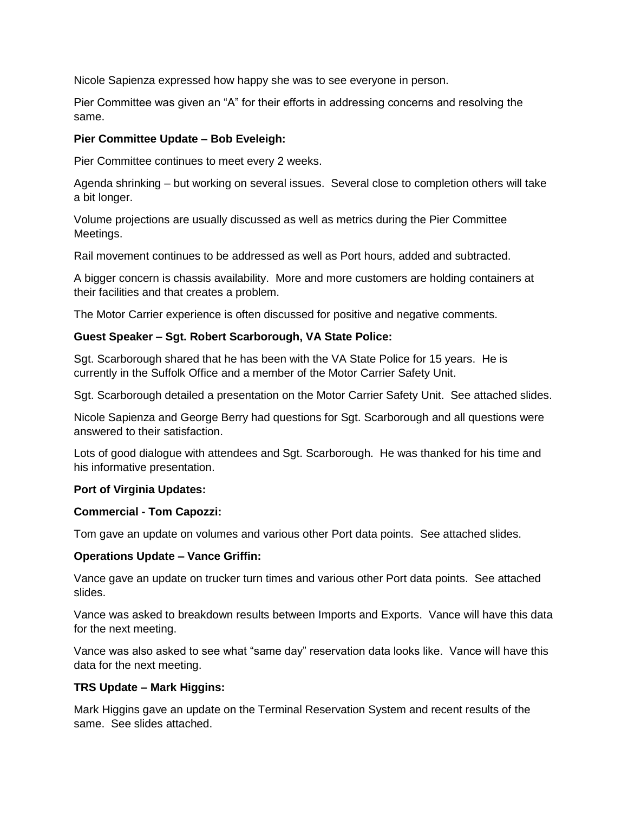Nicole Sapienza expressed how happy she was to see everyone in person.

Pier Committee was given an "A" for their efforts in addressing concerns and resolving the same.

# **Pier Committee Update – Bob Eveleigh:**

Pier Committee continues to meet every 2 weeks.

Agenda shrinking – but working on several issues. Several close to completion others will take a bit longer.

Volume projections are usually discussed as well as metrics during the Pier Committee Meetings.

Rail movement continues to be addressed as well as Port hours, added and subtracted.

A bigger concern is chassis availability. More and more customers are holding containers at their facilities and that creates a problem.

The Motor Carrier experience is often discussed for positive and negative comments.

## **Guest Speaker – Sgt. Robert Scarborough, VA State Police:**

Sgt. Scarborough shared that he has been with the VA State Police for 15 years. He is currently in the Suffolk Office and a member of the Motor Carrier Safety Unit.

Sgt. Scarborough detailed a presentation on the Motor Carrier Safety Unit. See attached slides.

Nicole Sapienza and George Berry had questions for Sgt. Scarborough and all questions were answered to their satisfaction.

Lots of good dialogue with attendees and Sgt. Scarborough. He was thanked for his time and his informative presentation.

#### **Port of Virginia Updates:**

#### **Commercial - Tom Capozzi:**

Tom gave an update on volumes and various other Port data points. See attached slides.

#### **Operations Update – Vance Griffin:**

Vance gave an update on trucker turn times and various other Port data points. See attached slides.

Vance was asked to breakdown results between Imports and Exports. Vance will have this data for the next meeting.

Vance was also asked to see what "same day" reservation data looks like. Vance will have this data for the next meeting.

## **TRS Update – Mark Higgins:**

Mark Higgins gave an update on the Terminal Reservation System and recent results of the same. See slides attached.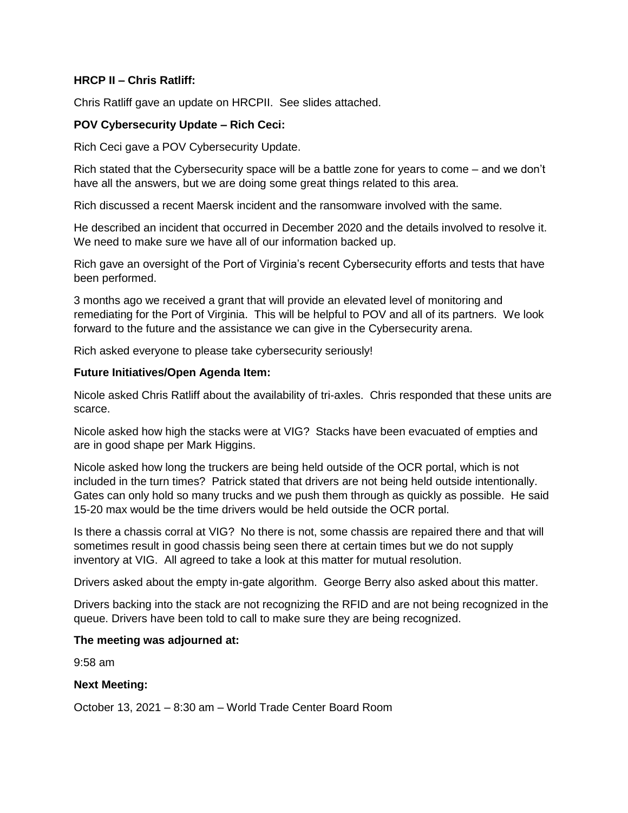### **HRCP II – Chris Ratliff:**

Chris Ratliff gave an update on HRCPII. See slides attached.

## **POV Cybersecurity Update – Rich Ceci:**

Rich Ceci gave a POV Cybersecurity Update.

Rich stated that the Cybersecurity space will be a battle zone for years to come – and we don't have all the answers, but we are doing some great things related to this area.

Rich discussed a recent Maersk incident and the ransomware involved with the same.

He described an incident that occurred in December 2020 and the details involved to resolve it. We need to make sure we have all of our information backed up.

Rich gave an oversight of the Port of Virginia's recent Cybersecurity efforts and tests that have been performed.

3 months ago we received a grant that will provide an elevated level of monitoring and remediating for the Port of Virginia. This will be helpful to POV and all of its partners. We look forward to the future and the assistance we can give in the Cybersecurity arena.

Rich asked everyone to please take cybersecurity seriously!

### **Future Initiatives/Open Agenda Item:**

Nicole asked Chris Ratliff about the availability of tri-axles. Chris responded that these units are scarce.

Nicole asked how high the stacks were at VIG? Stacks have been evacuated of empties and are in good shape per Mark Higgins.

Nicole asked how long the truckers are being held outside of the OCR portal, which is not included in the turn times? Patrick stated that drivers are not being held outside intentionally. Gates can only hold so many trucks and we push them through as quickly as possible. He said 15-20 max would be the time drivers would be held outside the OCR portal.

Is there a chassis corral at VIG? No there is not, some chassis are repaired there and that will sometimes result in good chassis being seen there at certain times but we do not supply inventory at VIG. All agreed to take a look at this matter for mutual resolution.

Drivers asked about the empty in-gate algorithm. George Berry also asked about this matter.

Drivers backing into the stack are not recognizing the RFID and are not being recognized in the queue. Drivers have been told to call to make sure they are being recognized.

#### **The meeting was adjourned at:**

9:58 am

## **Next Meeting:**

October 13, 2021 – 8:30 am – World Trade Center Board Room